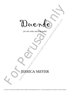Duende Duende **de l'assessed du la lime de la forme du la forme du la forme du la forme du la forme du la forme du la forme du** 

*for solo viola and loop pedal*

# for solo viola and loop pedal JESSICA MEYER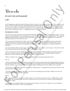Duende

## *for solo viola and loop pedal*

### **6'30"**

Exter director Federico Garcia Lorea gave a lecture in Buenos Aires tries  $\theta$  on  $\theta$  and  $\theta$  for  $\theta$  and  $\theta$  for  $\theta$  and  $\theta$  for  $\theta$  and  $\theta$  for  $\theta$  and  $\theta$  for  $\theta$  and  $\theta$  and  $\theta$  and  $\theta$  and  $\theta$  and  $\theta$ 2<br>
For solito viola and loop pedal<br>
for solo viola and loop pedal<br>
for solo viola and loop pedal<br>
for the solo violation inter-keloistical receivers in the system of the system of the system of the system of the<br>
function In 1933, Spanish poet and theater director Federico Garcia Lorca gave a lecture in Buenos Aires titled *"Play and Theory of the Duende"* in which he addressed the fiery spirit behind great performances that stir the emotions: *"The duende, then, is a power, not a work. It is a struggle, not a thought. I have heard an old maestro of the guitar say, 'The duende is not in the throat; the duende climbs up inside you, from the soles of the feet.' Meaning this: it is not a question of ability, but of true, living style, of blood, of the most ancient culture, of spontaneous creation … everything that has black sounds in it, has duende."* 

### **PEFORMANCE NOTES**

- This piece was written with a Boss Loop Station RC-20XL Phrase Recorder and a DPA 4099V Clip Microphone. However, the piece could be performed on any loop pedal that can start and stop playback, and loop an 8 beat phrase. The mic should amplify the natural resonance of the viola (I don't think stick-on contact mics would work, but feel free to try them). The following comments refer to the devices I used.

- To record, press the left pedal down. When you press it again, whatever you just played will have been recorded by the machine, and will start to repeat over and over again. Repeat the process to add layers. If you don't like what you just recorded, you can erase the last layer by holding the left pedal down a while. Each new layer of material is marked by a rehearsal #.

- To stop the playback (like on the past page), touch the right pedal. To turn it back on, touch it again. To clear all the sounds from the memory bank, hold the right pedal down for a few seconds to erase.

- Once you set the first loop and establish the initial tempo and duration, you could technically hit the pedal at any time to enter in new material (as long as you are lining up the new material with what you are hearing through the playback). However, it is best you follow the directions below while you are learning this piece.

- When it is marked "solo" it means that you are not recording and are just playing along with the loops.

### *Part One*

- Always start playing the material first, then press pedal to record until you hear that material coming through the speakers as part of the loop (in other words, don't hit the pedal again to stop recording until you hear yourself doubled while playing that particular material). It is not important how fast the tempo light is blinking in the first part (unlike in the second part).

- In measures 16 and 18, make wide circles with your bow starting on beat 3, oscillating between sul pont and sul tasto. Start slowly, get faster, then slower again.

- In measure 25, slide very slowly up and down so you can hear the beating get faster and slower. While you do this, bow random rhythms that get faster then slower again.

### *Part Two*

- The loop duration must be set exactly at 8 beats of quarter = 132 or this section does not work. A slightly faster or slower tempo is OK, but the duration of the loop must be 8 beats long. If it does not work out on the first try, keep holding the C, erase, and do it again.

- In this section, the red light will blink at the beginning of each measure (every 4 beats). Make sure you are entering new material on the correct beat(s) of the 8 beat looped phrase.

2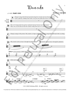Duende

# $\mathcal{J} = 60$  **PART ONE**



3



<sup>©2011</sup> JMM Publishing (BMI). All rights reserved.

For perusal only. Performance materials must be purchased via www.jessicameyermusic.com. Unauthorized reproduction or distribution is strictly prohibited.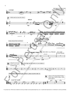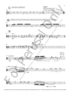

For perusal only. Performance materials must be purchased via www.jessicameyermusic.com. Unauthorized reproduction or distribution is strictly prohibited.